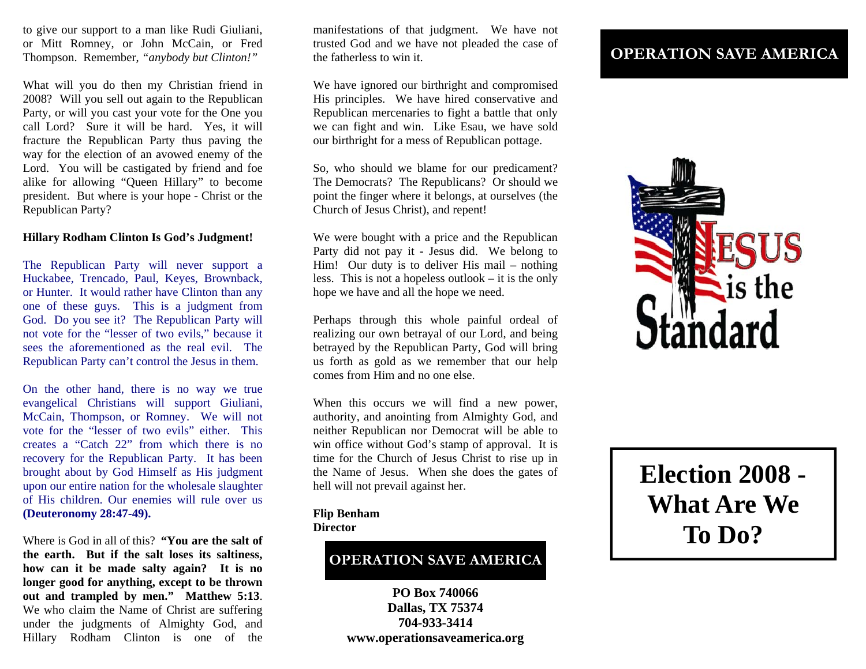to give our support to a man like Rudi Giuliani, or Mitt Romney, or John McCain, or Fred Thompson. Remember, *"anybody but Clinton!"*

What will you do then my Christian friend in 2008? Will you sell out again to the Republican Party, or will you cast your vote for the One you call Lord? Sure it will be hard. Yes, it will fracture the Republican Party thus paving the way for the election of an avowed enemy of the Lord. You will be castigated by friend and foe alike for allowing "Queen Hillary" to become president. But where is your hope - Christ or the Republican Party?

### **Hillary Rodham Clinton Is God's Judgment!**

The Republican Party will never support a Huckabee, Trencado, Paul, Keyes, Brownback, or Hunter. It would rather have Clinton than any one of these guys. This is a judgment from God. Do you see it? The Republican Party will not vote for the "lesser of two evils," because it sees the aforementioned as the real evil. The Republican Party can't control the Jesus in them.

On the other hand, there is no way we true evangelical Christians will support Giuliani, McCain, Thompson, or Romney. We will not vote for the "lesser of two evils" either. This creates a "Catch 22" from which there is no recovery for the Republican Party. It has been brought about by God Himself as His judgment upon our entire nation for the wholesale slaughter of His children. Our enemies will rule over us **(Deuteronomy 28:47-49).**

Where is God in all of this? **"You are the salt of the earth. But if the salt loses its saltiness, how can it be made salty again? It is no longer good for anything, except to be thrown out and trampled by men." Matthew 5:13**. We who claim the Name of Christ are suffering under the judgments of Almighty God, and Hillary Rodham Clinton is one of the

manifestations of that judgment. We have not trusted God and we have not pleaded the case of the fatherless to win it.

We have ignored our birthright and compromised His principles. We have hired conservative and Republican mercenaries to fight a battle that only we can fight and win. Like Esau, we have sold our birthright for a mess of Republican pottage.

So, who should we blame for our predicament? The Democrats? The Republicans? Or should we point the finger where it belongs, at ourselves (the Church of Jesus Christ), and repent!

We were bought with a price and the Republican Party did not pay it - Jesus did. We belong to Him! Our duty is to deliver His mail – nothing less. This is not a hopeless outlook – it is the only hope we have and all the hope we need.

Perhaps through this whole painful ordeal of realizing our own betrayal of our Lord, and being betrayed by the Republican Party, God will bring us forth as gold as we remember that our help comes from Him and no one else.

When this occurs we will find a new power, authority, and anointing from Almighty God, and neither Republican nor Democrat will be able to win office without God's stamp of approval. It is time for the Church of Jesus Christ to rise up in the Name of Jesus. When she does the gates of hell will not prevail against her.

#### **Flip Benham Director**

# **OPERATION SAVE AMERICA**

**PO Box 740066 Dallas, TX 75374 704-933-3414 www.operationsaveamerica.org** 

# **OPERATION SAVE AMERICA**



**Election 2008 - What Are We To Do?**